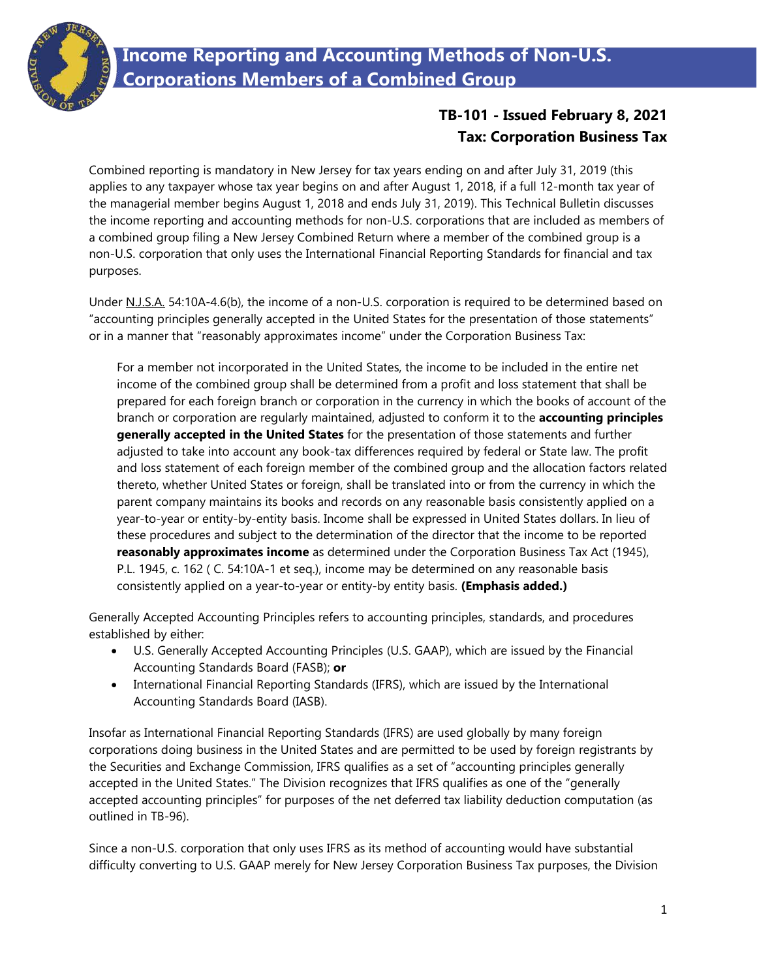

## **Income Reporting and Accounting Methods of Non-U.S. Corporations Members of a Combined Group**

## **TB-101 - Issued February 8, 2021 Tax: Corporation Business Tax**

Combined reporting is mandatory in New Jersey for tax years ending on and after July 31, 2019 (this applies to any taxpayer whose tax year begins on and after August 1, 2018, if a full 12-month tax year of the managerial member begins August 1, 2018 and ends July 31, 2019). This Technical Bulletin discusses the income reporting and accounting methods for non-U.S. corporations that are included as members of a combined group filing a New Jersey Combined Return where a member of the combined group is a non-U.S. corporation that only uses the International Financial Reporting Standards for financial and tax purposes.

Under N.J.S.A. 54:10A-4.6(b), the income of a non-U.S. corporation is required to be determined based on "accounting principles generally accepted in the United States for the presentation of those statements" or in a manner that "reasonably approximates income" under the Corporation Business Tax:

For a member not incorporated in the United States, the income to be included in the entire net income of the combined group shall be determined from a profit and loss statement that shall be prepared for each foreign branch or corporation in the currency in which the books of account of the branch or corporation are regularly maintained, adjusted to conform it to the **accounting principles generally accepted in the United States** for the presentation of those statements and further adjusted to take into account any book-tax differences required by federal or State law. The profit and loss statement of each foreign member of the combined group and the allocation factors related thereto, whether United States or foreign, shall be translated into or from the currency in which the parent company maintains its books and records on any reasonable basis consistently applied on a year-to-year or entity-by-entity basis. Income shall be expressed in United States dollars. In lieu of these procedures and subject to the determination of the director that the income to be reported **reasonably approximates income** as determined under the Corporation Business Tax Act (1945), P.L. 1945, c. 162 ( C. 54:10A-1 et seq.), income may be determined on any reasonable basis consistently applied on a year-to-year or entity-by entity basis. **(Emphasis added.)**

Generally Accepted Accounting Principles refers to accounting principles, standards, and procedures established by either:

- U.S. Generally Accepted Accounting Principles (U.S. GAAP), which are issued by the Financial Accounting Standards Board (FASB); **or**
- International Financial Reporting Standards (IFRS), which are issued by the International Accounting Standards Board (IASB).

Insofar as International Financial Reporting Standards (IFRS) are used globally by many foreign corporations doing business in the United States and are permitted to be used by foreign registrants by the Securities and Exchange Commission, IFRS qualifies as a set of "accounting principles generally accepted in the United States." The Division recognizes that IFRS qualifies as one of the "generally accepted accounting principles" for purposes of the net deferred tax liability deduction computation (as outlined in TB-96).

Since a non-U.S. corporation that only uses IFRS as its method of accounting would have substantial difficulty converting to U.S. GAAP merely for New Jersey Corporation Business Tax purposes, the Division